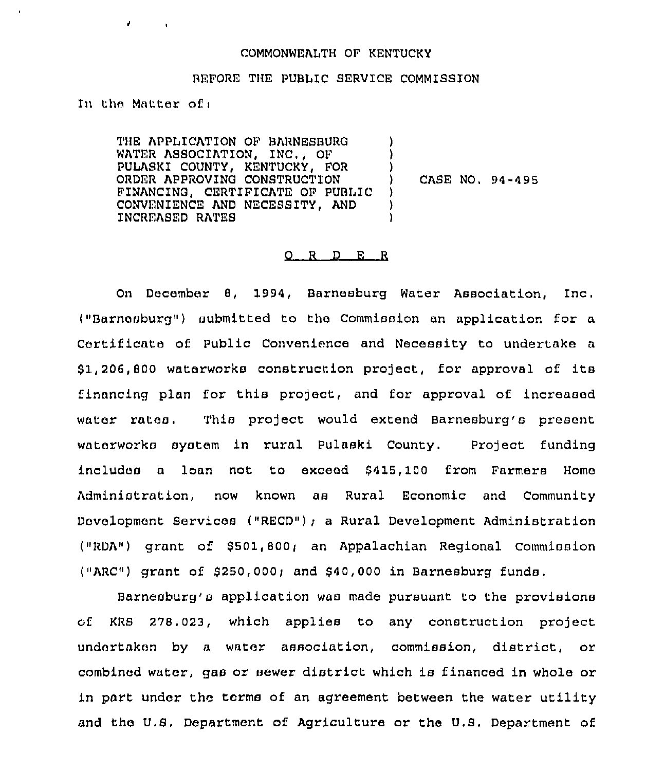## COMMONWEALTH OF KENTUCKY

## BEFORE THE PUBLIC SERVICE COMMISSION

) ) )

) ) )

In the Matter of,

THE APPLICATION OF BARNESBURG WATER ASSOCIATION, INC,, OF PULASKI COUNTY, KENTUCKY, FOR ORDER APPROVING CONSTRUCTION FINANCING, CERTIFICATE OF PUBLIC CONVENIENCE AND NECESSITY, AND INCREASED RATES

) CASE NO, 94-495

## $O$  R  $D$  E R

On December 8, 1994, Barnesburg Water Association, Inc. ("Barnnsburg") submitted to the Commission an application for a Certificate of Public Convenience and Necessity to undertake a \$ 1,206,800 waterworks construction project, for approval of its financing plan for this project, and for approval of increased water rates. This project would extend Barnesburg's present waterworks system in rural Pulaski County. Project funding includes a loan not to exceed \$415, 100 from Farmers Home Administration, now known as Rural Economic and Community Development Services ("RECD"); a Rural Development Administration ("RDA") grant of \$501,800; an Appalachian Regional Commission ("ARC") grant of  $$250,000$ ; and  $$40,000$  in Barnesburg funds.

Barnesburg's application was made pursuant to the provisions of KRS 278.023, which applies to any construction project undertaken by a water association, commission, district, or combined water, gas or sewer district which is financed in whole or in part under the terms of an agreement between the water utility and the U.S. Department of Agriculture or the U.S. Department of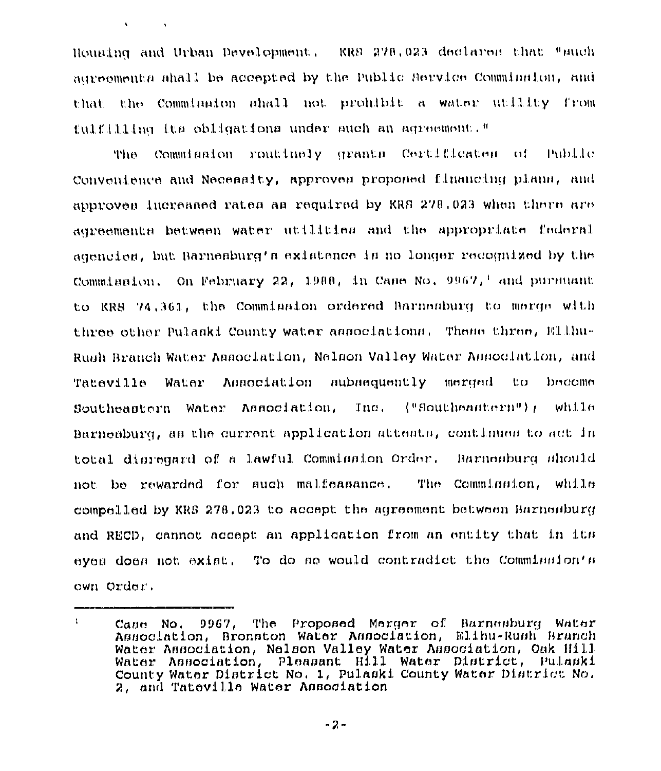Houning and Urban Development. KRS 278,023 declares that "such agreements shall be accepted by the Public Service Commission, and that the Comminaton ahall not prohibit a water utility from fulfilling its obligations under such an agreement."

 $\mathbf{A}^{\prime}$  .

Commigaton routinely grants Certificates of Public The **Section** Convenience and Necesalty, approves proposed financing plans, and approven increased rates as required by KRS 278,023 when there are agreements between water utilities and the appropriate federal agencies, but Barnesburg's existence is no longer recognized by the Commission. On February 22, 1988, in Case No.  $9967$ , and pursuant to KRS 74.361, the Commission ordered Barnesburg to merge with three other Pulaski County water associations. These three, Ellhu-Rush Branch Water Annociation, Nelson Valley Water Annociation, and Tateville Water Association subsequently merged - tro bucomu Southeastern Water Association,  $\text{Inc.}$  ("Southeantern"); while Barnesburg, as the current application attents, continues to act in total disregard of a lawful Commission Order. Barnesburg should not be rewarded for such malfeasance. The Commination, while compelled by KRS 278.023 to accept the agreement between Harnesburg and RECD, cannot accept an application from an entity that in its eyes does not exist. To do so would contradict the Commission's own Order.

 $\mathbf{1}$ The Proposed Merger of Barnesburg Water Cane No. 9967, Association, Bronston Water Association, Elihu-Rush Branch Water Association, Nelson Valley Water Association, Oak Hill Water Association, Pleasant Hill Water District, Pulaski County Water District No. 1, Pulaski County Water District No. 2, and Tateville Water Association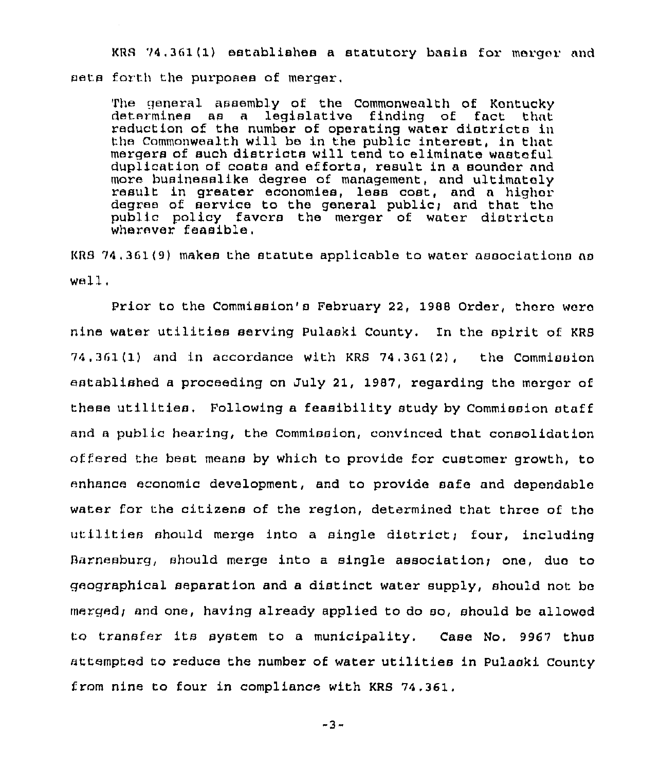KRS 74,361(1) establishes a statutory basis for merger and sets forth the purposes of merger.

The general assembly of the Commonwealth of Kontucky determines as a legislative finding of fact that reduction of the number of operating water districts in the Commonwealth will be in the public interest, in that mergers of such districts will tend to eliminate wasteful duplication of costs and efforts, result in a sounder and more businesslike degxee of management, and ultimately result in greater economies, less cost, and <sup>a</sup> highor degree of service to the general public; and that the public policy favors the merger of water districts wherever feasible.

KRS 74.361(9) makes the statute applicable to water associations ao  $w$ ell.

Prior to the Commission's February 22, 1988 Order, thoro waro nine water utilities serving Pulaski County. In the spirit of KRS  $74.361(1)$  and in accordance with KRS  $74.361(2)$ , the Commission established a proceeding on July 21, 1987, regarding tho merger of these utilities. Following a feasibility study by Commission staff and a public hearing, the Commission, convinced that consolidation offered the best means by which to provide for customer growth, to enhance economic development, and to provide safe and depondablo water for the citizens of the region, determined that three of tho utilities should merge into a single district; four, including Barnesburg, should merge into a single association) ono, duo to geographical separation and a distinct water supply, should not bo mergedi and one, having already applied to do so, should be allowod to transfer its system to a municipality. Case No. 9967 thus attempted to reduce the number of water utilities in Pulaski County from nine to four in compliance with KRS 74.361.

-3-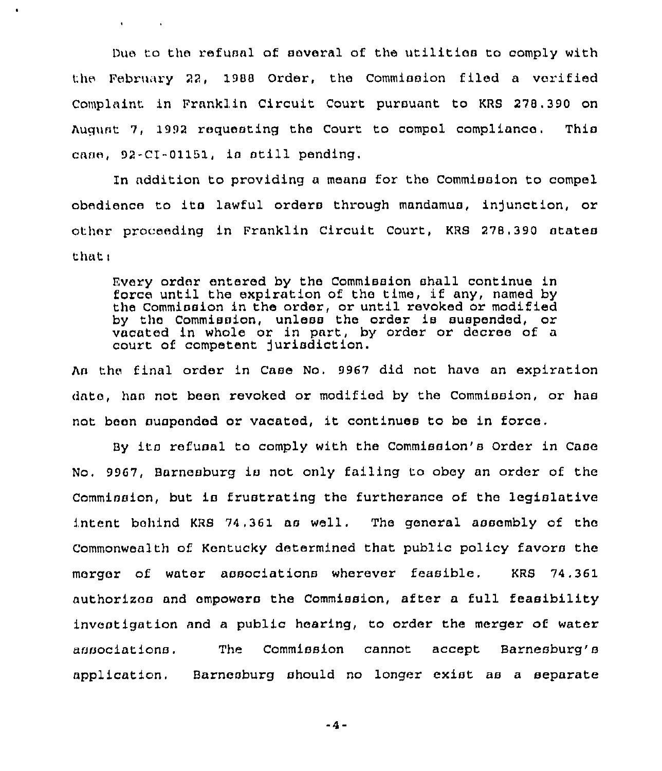Due to the refusal of aevexal of the utilitiea to comply with the February 22, 1988 Order, the Commission filed a verified Complaint in Franklin Circuit Court pursuant to KRS 278.390 on August 7, 1992 requesting the Court to compel compliance. This case, 92-CI-01151, is still pending.

 $\mathbf{t} = \mathbf{0} \times \mathbf{0}$  ,  $\mathbf{0} \times \mathbf{0}$ 

In addition to providing a means for the Commission to compel obedience to its lawful orders through mandamus, injunction, or other pxoceeding in Franklin Circuit Court, KRS 278,390 states that:

Every order entered by the Commission shall continue in force until the expiration of the time, if any, named by the Commission in the order, or until revoked or modified by the Commission, unless the order is suspended, or vacated in whole or in part, by order or decree of a court of competent jurisdiction.

An the final order in Case No. 9967 did not have an expiration date, haa not been revoked or modified by the Commission, or has not been suspended or vacated, it continues to be in force.

By its refusal to comply with the Commission's Order in Case No, 9967, Barnesburg is not only failing to obey an order of the Commission, but is frustrating the furtherance of the legislative intent behind KRB 74,361 as well. The general assembly of the Commonwealth of Kentucky determined that public policy favors the merger of water associations wherever feasible. KRB 74.361 authorizes and empowers the Commission, after a full feasibility investigation and a public hearing, to order the merger of water associations. The Commission cannot accept Barnesburg's application, Barnesburg should no longer exist as a separate

 $-4 -$